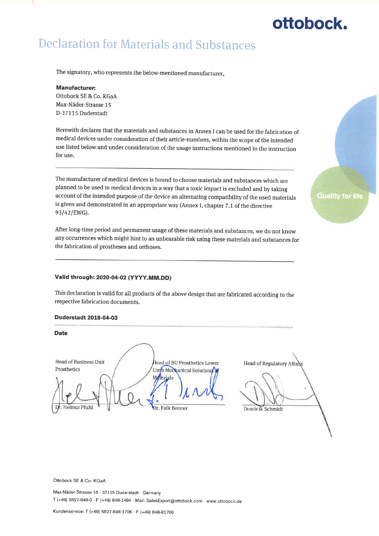#### **Declaration for Materials and Substances**

The signatory, who represents the below-mentioned manufacturer,

#### **Manufacturer:**

Ottobock SE & Co. KGaA Max-Näder-Strasse 15 D-37115 Duderstadt

Herewith declares that the materials and substances in Annex I can be used for the fabrication of medical devices under consideration of their article-numbers, within the scope of the intended use listed below and under consideration of the usage instructions mentioned in the instruction for use.

The manufacturer of medical devices is bound to choose materials and substances which are planned to be used in medical devices in a way that a toxic impact is excluded and by taking account of the intended purpose of the device an alternating compatibility of the used materials is given and demonstrated in an appropriate way (Annex I, chapter 7.1 of the directive 93/42/EWG).

After long-time period and permanent usage of these materials and substances, we do not know any occurrences which might hint to an unbearable risk using these materials and substances for the fabrication of prostheses and orthoses.

#### Valid through: 2020-04-02 (YYYY,MM.DD)

This declaration is valid for all products of the above design that are fabricated according to the respective fabrication documents.

#### **Duderstadt 2018-04-03**



Ottobock SE & Co. KGaA

Max-Näder-Strasse 15 · 37115 Duderstadt · Germany T (+49) 5527-848-0 · F (+49) 848-1484 · Mail: SalesExport@ottobock.com · www.ottobock.de

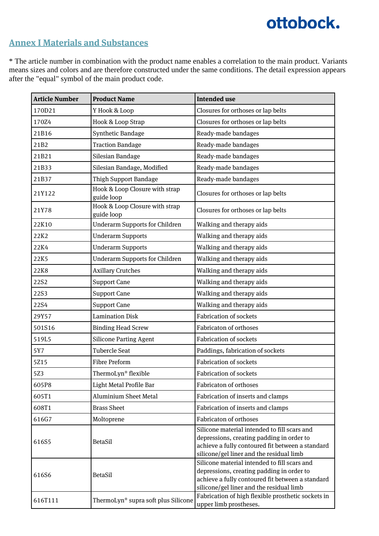#### **Annex I Materials and Substances**

\* The article number in combination with the product name enables a correlation to the main product. Variants means sizes and colors and are therefore constructed under the same conditions. The detail expression appears after the "equal" symbol of the main product code.

| <b>Article Number</b> | <b>Product Name</b>                          | <b>Intended use</b>                                                                                                                                                                       |
|-----------------------|----------------------------------------------|-------------------------------------------------------------------------------------------------------------------------------------------------------------------------------------------|
| 170D21                | Y Hook & Loop                                | Closures for orthoses or lap belts                                                                                                                                                        |
| 170Z4                 | Hook & Loop Strap                            | Closures for orthoses or lap belts                                                                                                                                                        |
| 21B16                 | Synthetic Bandage                            | Ready-made bandages                                                                                                                                                                       |
| 21B2                  | <b>Traction Bandage</b>                      | Ready-made bandages                                                                                                                                                                       |
| 21B21                 | Silesian Bandage                             | Ready-made bandages                                                                                                                                                                       |
| 21B33                 | Silesian Bandage, Modified                   | Ready-made bandages                                                                                                                                                                       |
| 21B37                 | <b>Thigh Support Bandage</b>                 | Ready-made bandages                                                                                                                                                                       |
| 21Y122                | Hook & Loop Closure with strap<br>guide loop | Closures for orthoses or lap belts                                                                                                                                                        |
| 21Y78                 | Hook & Loop Closure with strap<br>guide loop | Closures for orthoses or lap belts                                                                                                                                                        |
| 22K10                 | <b>Underarm Supports for Children</b>        | Walking and therapy aids                                                                                                                                                                  |
| 22K2                  | <b>Underarm Supports</b>                     | Walking and therapy aids                                                                                                                                                                  |
| 22K4                  | <b>Underarm Supports</b>                     | Walking and therapy aids                                                                                                                                                                  |
| 22K5                  | <b>Underarm Supports for Children</b>        | Walking and therapy aids                                                                                                                                                                  |
| 22K8                  | <b>Axillary Crutches</b>                     | Walking and therapy aids                                                                                                                                                                  |
| 22S2                  | <b>Support Cane</b>                          | Walking and therapy aids                                                                                                                                                                  |
| 22S3                  | <b>Support Cane</b>                          | Walking and therapy aids                                                                                                                                                                  |
| 22S4                  | <b>Support Cane</b>                          | Walking and therapy aids                                                                                                                                                                  |
| 29Y57                 | <b>Lamination Disk</b>                       | <b>Fabrication of sockets</b>                                                                                                                                                             |
| 501S16                | <b>Binding Head Screw</b>                    | <b>Fabricaton of orthoses</b>                                                                                                                                                             |
| 519L5                 | <b>Silicone Parting Agent</b>                | <b>Fabrication of sockets</b>                                                                                                                                                             |
| 5Y7                   | <b>Tubercle Seat</b>                         | Paddings, fabrication of sockets                                                                                                                                                          |
| 5Z15                  | <b>Fibre Preform</b>                         | <b>Fabrication of sockets</b>                                                                                                                                                             |
| 5Z3                   | ThermoLyn® flexible                          | <b>Fabrication of sockets</b>                                                                                                                                                             |
| 605P8                 | Light Metal Profile Bar                      | Fabricaton of orthoses                                                                                                                                                                    |
| 605T1                 | <b>Aluminium Sheet Metal</b>                 | Fabrication of inserts and clamps                                                                                                                                                         |
| 608T1                 | <b>Brass Sheet</b>                           | Fabrication of inserts and clamps                                                                                                                                                         |
| 616G7                 | Moltoprene                                   | Fabricaton of orthoses                                                                                                                                                                    |
| 616S5                 | <b>BetaSil</b>                               | Silicone material intended to fill scars and<br>depressions, creating padding in order to<br>achieve a fully contoured fit between a standard<br>silicone/gel liner and the residual limb |
| 616S6                 | <b>BetaSil</b>                               | Silicone material intended to fill scars and<br>depressions, creating padding in order to<br>achieve a fully contoured fit between a standard<br>silicone/gel liner and the residual limb |
| 616T111               | ThermoLyn® supra soft plus Silicone          | Fabrication of high flexible prosthetic sockets in<br>upper limb prostheses.                                                                                                              |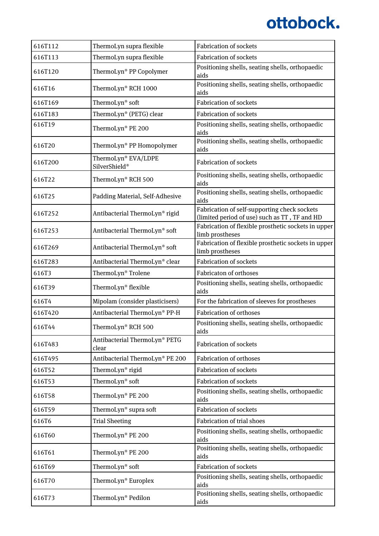| 616T112 | ThermoLyn supra flexible               | <b>Fabrication of sockets</b>                                                                 |
|---------|----------------------------------------|-----------------------------------------------------------------------------------------------|
| 616T113 | ThermoLyn supra flexible               | <b>Fabrication of sockets</b>                                                                 |
| 616T120 | ThermoLyn® PP Copolymer                | Positioning shells, seating shells, orthopaedic<br>aids                                       |
| 616T16  | ThermoLyn® RCH 1000                    | Positioning shells, seating shells, orthopaedic<br>aids                                       |
| 616T169 | ThermoLyn <sup>®</sup> soft            | <b>Fabrication of sockets</b>                                                                 |
| 616T183 | ThermoLyn® (PETG) clear                | <b>Fabrication of sockets</b>                                                                 |
| 616T19  | ThermoLyn® PE 200                      | Positioning shells, seating shells, orthopaedic<br>aids                                       |
| 616T20  | ThermoLyn® PP Homopolymer              | Positioning shells, seating shells, orthopaedic<br>aids                                       |
| 616T200 | ThermoLyn® EVA/LDPE<br>SilverShield®   | <b>Fabrication of sockets</b>                                                                 |
| 616T22  | ThermoLyn® RCH 500                     | Positioning shells, seating shells, orthopaedic<br>aids                                       |
| 616T25  | Padding Material, Self-Adhesive        | Positioning shells, seating shells, orthopaedic<br>aids                                       |
| 616T252 | Antibacterial ThermoLyn® rigid         | Fabrication of self-supporting check sockets<br>(limited period of use) such as TT, TF and HD |
| 616T253 | Antibacterial ThermoLyn® soft          | Fabrication of flexible prosthetic sockets in upper<br>limb prostheses                        |
| 616T269 | Antibacterial ThermoLyn® soft          | Fabrication of flexible prosthetic sockets in upper<br>limb prostheses                        |
| 616T283 | Antibacterial ThermoLyn® clear         | <b>Fabrication of sockets</b>                                                                 |
| 616T3   | ThermoLyn <sup>®</sup> Trolene         | <b>Fabricaton of orthoses</b>                                                                 |
| 616T39  | ThermoLyn® flexible                    | Positioning shells, seating shells, orthopaedic<br>aids                                       |
| 616T4   | Mipolam (consider plasticisers)        | For the fabrication of sleeves for prostheses                                                 |
| 616T420 | Antibacterial ThermoLyn® PP-H          | <b>Fabrication of orthoses</b>                                                                |
| 616T44  | ThermoLyn® RCH 500                     | Positioning shells, seating shells, orthopaedic<br>aids                                       |
| 616T483 | Antibacterial ThermoLyn® PETG<br>clear | <b>Fabrication of sockets</b>                                                                 |
| 616T495 | Antibacterial ThermoLyn® PE 200        | <b>Fabrication of orthoses</b>                                                                |
| 616T52  | ThermoLyn® rigid                       | <b>Fabrication of sockets</b>                                                                 |
| 616T53  | ThermoLyn <sup>®</sup> soft            | <b>Fabrication of sockets</b>                                                                 |
| 616T58  | ThermoLyn® PE 200                      | Positioning shells, seating shells, orthopaedic<br>aids                                       |
| 616T59  | ThermoLyn® supra soft                  | <b>Fabrication of sockets</b>                                                                 |
| 616T6   | <b>Trial Sheeting</b>                  | <b>Fabrication of trial shoes</b>                                                             |
| 616T60  | ThermoLyn® PE 200                      | Positioning shells, seating shells, orthopaedic<br>aids                                       |
| 616T61  | ThermoLyn® PE 200                      | Positioning shells, seating shells, orthopaedic<br>aids                                       |
| 616T69  | ThermoLyn® soft                        | <b>Fabrication of sockets</b>                                                                 |
| 616T70  | ThermoLyn <sup>®</sup> Europlex        | Positioning shells, seating shells, orthopaedic<br>aids                                       |
| 616T73  | ThermoLyn <sup>®</sup> Pedilon         | Positioning shells, seating shells, orthopaedic<br>aids                                       |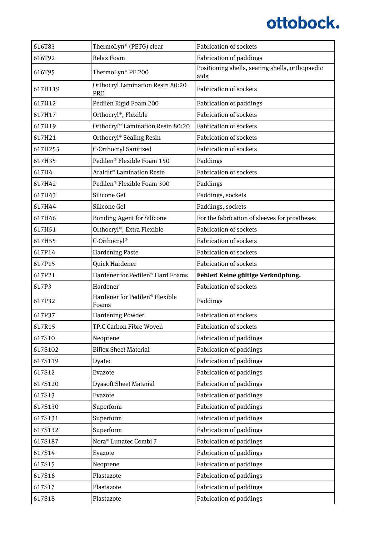| 616T83  | ThermoLyn® (PETG) clear                        | <b>Fabrication of sockets</b>                           |
|---------|------------------------------------------------|---------------------------------------------------------|
| 616T92  | <b>Relax Foam</b>                              | <b>Fabrication of paddings</b>                          |
| 616T95  | ThermoLyn® PE 200                              | Positioning shells, seating shells, orthopaedic<br>aids |
| 617H119 | Orthocryl Lamination Resin 80:20<br><b>PRO</b> | <b>Fabrication of sockets</b>                           |
| 617H12  | Pedilen Rigid Foam 200                         | <b>Fabrication of paddings</b>                          |
| 617H17  | Orthocryl®, Flexible                           | <b>Fabrication of sockets</b>                           |
| 617H19  | Orthocryl® Lamination Resin 80:20              | Fabrication of sockets                                  |
| 617H21  | Orthocryl® Sealing Resin                       | <b>Fabrication of sockets</b>                           |
| 617H255 | C-Orthocryl Sanitized                          | <b>Fabrication of sockets</b>                           |
| 617H35  | Pedilen® Flexible Foam 150                     | Paddings                                                |
| 617H4   | Araldit <sup>®</sup> Lamination Resin          | <b>Fabrication of sockets</b>                           |
| 617H42  | Pedilen® Flexible Foam 300                     | Paddings                                                |
| 617H43  | Silicone Gel                                   | Paddings, sockets                                       |
| 617H44  | Silicone Gel                                   | Paddings, sockets                                       |
| 617H46  | <b>Bonding Agent for Silicone</b>              | For the fabrication of sleeves for prostheses           |
| 617H51  | Orthocryl®, Extra Flexible                     | <b>Fabrication of sockets</b>                           |
| 617H55  | C-Orthocryl®                                   | <b>Fabrication of sockets</b>                           |
| 617P14  | <b>Hardening Paste</b>                         | <b>Fabrication of sockets</b>                           |
| 617P15  | Quick Hardener                                 | <b>Fabrication of sockets</b>                           |
|         |                                                |                                                         |
| 617P21  | Hardener for Pedilen® Hard Foams               | Fehler! Keine gültige Verknüpfung.                      |
| 617P3   | Hardener                                       | <b>Fabrication of sockets</b>                           |
| 617P32  | Hardener for Pedilen® Flexible<br>Foams        | Paddings                                                |
| 617P37  | <b>Hardening Powder</b>                        | Fabrication of sockets                                  |
| 617R15  | TP.C Carbon Fibre Woven                        | Fabrication of sockets                                  |
| 617S10  | Neoprene                                       | <b>Fabrication of paddings</b>                          |
| 617S102 | <b>Biflex Sheet Material</b>                   | Fabrication of paddings                                 |
| 617S119 | Dyatec                                         | <b>Fabrication of paddings</b>                          |
| 617S12  | Evazote                                        | Fabrication of paddings                                 |
| 617S120 | <b>Dyasoft Sheet Material</b>                  | <b>Fabrication of paddings</b>                          |
| 617S13  | Evazote                                        | Fabrication of paddings                                 |
| 617S130 | Superform                                      | <b>Fabrication of paddings</b>                          |
| 617S131 | Superform                                      | <b>Fabrication of paddings</b>                          |
| 617S132 | Superform                                      | <b>Fabrication of paddings</b>                          |
| 617S187 | Nora <sup>®</sup> Lunatec Combi 7              | Fabrication of paddings                                 |
| 617S14  | Evazote                                        | <b>Fabrication of paddings</b>                          |
| 617S15  | Neoprene                                       | Fabrication of paddings                                 |
| 617S16  | Plastazote                                     | <b>Fabrication of paddings</b>                          |
| 617S17  | Plastazote                                     | Fabrication of paddings                                 |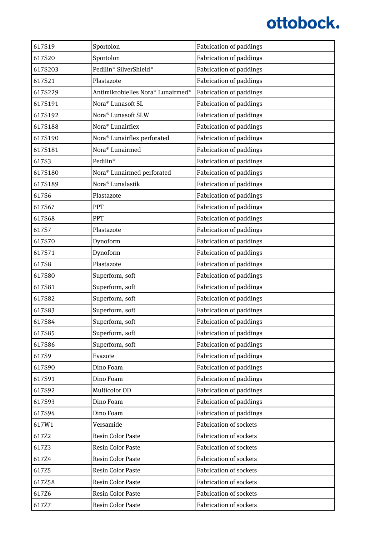| 617S19  | Sportolon                               | <b>Fabrication of paddings</b> |
|---------|-----------------------------------------|--------------------------------|
| 617S20  | Sportolon                               | <b>Fabrication of paddings</b> |
| 617S203 | Pedilin® SilverShield®                  | <b>Fabrication of paddings</b> |
| 617S21  | Plastazote                              | <b>Fabrication of paddings</b> |
| 617S229 | Antimikrobielles Nora® Lunairmed®       | Fabrication of paddings        |
| 617S191 | Nora <sup>®</sup> Lunasoft SL           | <b>Fabrication of paddings</b> |
| 617S192 | Nora <sup>®</sup> Lunasoft SLW          | <b>Fabrication of paddings</b> |
| 617S188 | Nora <sup>®</sup> Lunairflex            | <b>Fabrication of paddings</b> |
| 617S190 | Nora <sup>®</sup> Lunairflex perforated | <b>Fabrication of paddings</b> |
| 617S181 | Nora <sup>®</sup> Lunairmed             | <b>Fabrication of paddings</b> |
| 617S3   | Pedilin <sup>®</sup>                    | <b>Fabrication of paddings</b> |
| 617S180 | Nora <sup>®</sup> Lunairmed perforated  | <b>Fabrication of paddings</b> |
| 617S189 | Nora <sup>®</sup> Lunalastik            | <b>Fabrication of paddings</b> |
| 617S6   | Plastazote                              | <b>Fabrication of paddings</b> |
| 617S67  | PPT                                     | <b>Fabrication of paddings</b> |
| 617S68  | PPT                                     | <b>Fabrication of paddings</b> |
| 617S7   | Plastazote                              | <b>Fabrication of paddings</b> |
| 617S70  | Dynoform                                | <b>Fabrication of paddings</b> |
| 617S71  | Dynoform                                | <b>Fabrication of paddings</b> |
| 617S8   | Plastazote                              | <b>Fabrication of paddings</b> |
| 617S80  | Superform, soft                         | <b>Fabrication of paddings</b> |
| 617S81  | Superform, soft                         | <b>Fabrication of paddings</b> |
| 617S82  | Superform, soft                         | <b>Fabrication of paddings</b> |
| 617S83  | Superform, soft                         | <b>Fabrication of paddings</b> |
| 617S84  | Superform, soft                         | <b>Fabrication of paddings</b> |
| 617S85  | Superform, soft                         | <b>Fabrication of paddings</b> |
| 617S86  | Superform, soft                         | <b>Fabrication of paddings</b> |
| 617S9   | Evazote                                 | <b>Fabrication of paddings</b> |
| 617S90  | Dino Foam                               | <b>Fabrication of paddings</b> |
| 617S91  | Dino Foam                               | <b>Fabrication of paddings</b> |
| 617S92  | Multicolor OD                           | <b>Fabrication of paddings</b> |
| 617S93  | Dino Foam                               | <b>Fabrication of paddings</b> |
| 617S94  | Dino Foam                               | <b>Fabrication of paddings</b> |
| 617W1   | Versamide                               | <b>Fabrication of sockets</b>  |
| 617Z2   | <b>Resin Color Paste</b>                | <b>Fabrication of sockets</b>  |
| 617Z3   | <b>Resin Color Paste</b>                | <b>Fabrication of sockets</b>  |
| 617Z4   | <b>Resin Color Paste</b>                | <b>Fabrication of sockets</b>  |
| 617Z5   | <b>Resin Color Paste</b>                | <b>Fabrication of sockets</b>  |
| 617Z58  | <b>Resin Color Paste</b>                | <b>Fabrication of sockets</b>  |
| 617Z6   | <b>Resin Color Paste</b>                | <b>Fabrication of sockets</b>  |
| 617Z7   | Resin Color Paste                       | Fabrication of sockets         |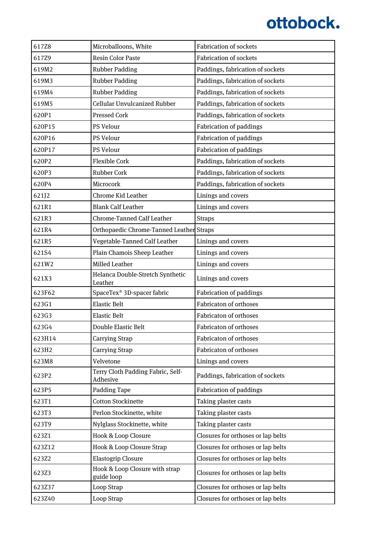| 617Z8  | Microballoons, White                          | <b>Fabrication of sockets</b>      |
|--------|-----------------------------------------------|------------------------------------|
| 617Z9  | <b>Resin Color Paste</b>                      | <b>Fabrication of sockets</b>      |
| 619M2  | <b>Rubber Padding</b>                         | Paddings, fabrication of sockets   |
| 619M3  | <b>Rubber Padding</b>                         | Paddings, fabrication of sockets   |
| 619M4  | <b>Rubber Padding</b>                         | Paddings, fabrication of sockets   |
| 619M5  | Cellular Unvulcanized Rubber                  | Paddings, fabrication of sockets   |
| 620P1  | <b>Pressed Cork</b>                           | Paddings, fabrication of sockets   |
| 620P15 | PS Velour                                     | <b>Fabrication of paddings</b>     |
| 620P16 | PS Velour                                     | <b>Fabrication of paddings</b>     |
| 620P17 | PS Velour                                     | <b>Fabrication of paddings</b>     |
| 620P2  | <b>Flexible Cork</b>                          | Paddings, fabrication of sockets   |
| 620P3  | <b>Rubber Cork</b>                            | Paddings, fabrication of sockets   |
| 620P4  | Microcork                                     | Paddings, fabrication of sockets   |
| 621J2  | Chrome Kid Leather                            | Linings and covers                 |
| 621R1  | <b>Blank Calf Leather</b>                     | Linings and covers                 |
| 621R3  | <b>Chrome-Tanned Calf Leather</b>             | <b>Straps</b>                      |
| 621R4  | Orthopaedic Chrome-Tanned Leather Straps      |                                    |
| 621R5  | Vegetable-Tanned Calf Leather                 | Linings and covers                 |
| 621S4  | Plain Chamois Sheep Leather                   | Linings and covers                 |
| 621W2  | Milled Leather                                | Linings and covers                 |
| 621X3  | Helanca Double-Stretch Synthetic<br>Leather   | Linings and covers                 |
| 623F62 | SpaceTex <sup>®</sup> 3D-spacer fabric        | <b>Fabrication of paddings</b>     |
| 623G1  | <b>Elastic Belt</b>                           | <b>Fabricaton of orthoses</b>      |
| 623G3  | <b>Elastic Belt</b>                           | Fabricaton of orthoses             |
| 623G4  | Double Elastic Belt                           | Fabricaton of orthoses             |
| 623H14 | <b>Carrying Strap</b>                         | Fabricaton of orthoses             |
| 623H2  | Carrying Strap                                | Fabricaton of orthoses             |
| 623M8  | Velvetone                                     | Linings and covers                 |
| 623P2  | Terry Cloth Padding Fabric, Self-<br>Adhesive | Paddings, fabrication of sockets   |
| 623P5  | Padding Tape                                  | <b>Fabrication of paddings</b>     |
| 623T1  | <b>Cotton Stockinette</b>                     | Taking plaster casts               |
| 623T3  | Perlon Stockinette, white                     | Taking plaster casts               |
| 623T9  | Nylglass Stockinette, white                   | Taking plaster casts               |
| 623Z1  | Hook & Loop Closure                           | Closures for orthoses or lap belts |
| 623Z12 | Hook & Loop Closure Strap                     | Closures for orthoses or lap belts |
| 623Z2  | <b>Elastogrip Closure</b>                     | Closures for orthoses or lap belts |
| 623Z3  | Hook & Loop Closure with strap<br>guide loop  | Closures for orthoses or lap belts |
| 623Z37 | Loop Strap                                    | Closures for orthoses or lap belts |
| 623Z40 | Loop Strap                                    | Closures for orthoses or lap belts |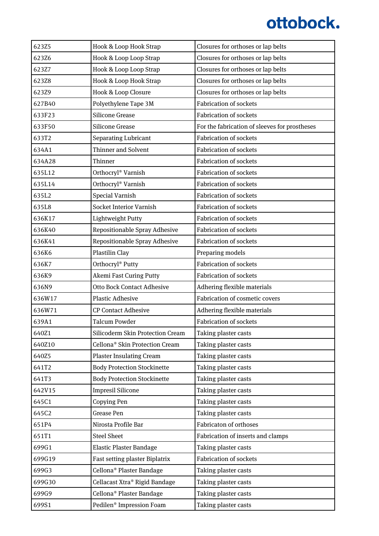| 623Z5  | Hook & Loop Hook Strap                     | Closures for orthoses or lap belts            |
|--------|--------------------------------------------|-----------------------------------------------|
| 623Z6  | Hook & Loop Loop Strap                     | Closures for orthoses or lap belts            |
| 623Z7  | Hook & Loop Loop Strap                     | Closures for orthoses or lap belts            |
| 623Z8  | Hook & Loop Hook Strap                     | Closures for orthoses or lap belts            |
| 623Z9  | Hook & Loop Closure                        | Closures for orthoses or lap belts            |
| 627B40 | Polyethylene Tape 3M                       | <b>Fabrication of sockets</b>                 |
| 633F23 | <b>Silicone Grease</b>                     | <b>Fabrication of sockets</b>                 |
| 633F50 | <b>Silicone Grease</b>                     | For the fabrication of sleeves for prostheses |
| 633T2  | <b>Separating Lubricant</b>                | <b>Fabrication of sockets</b>                 |
| 634A1  | <b>Thinner and Solvent</b>                 | <b>Fabrication of sockets</b>                 |
| 634A28 | Thinner                                    | <b>Fabrication of sockets</b>                 |
| 635L12 | Orthocryl® Varnish                         | <b>Fabrication of sockets</b>                 |
| 635L14 | Orthocryl® Varnish                         | <b>Fabrication of sockets</b>                 |
| 635L2  | <b>Special Varnish</b>                     | <b>Fabrication of sockets</b>                 |
| 635L8  | <b>Socket Interior Varnish</b>             | <b>Fabrication of sockets</b>                 |
| 636K17 | Lightweight Putty                          | <b>Fabrication of sockets</b>                 |
| 636K40 | Repositionable Spray Adhesive              | <b>Fabrication of sockets</b>                 |
| 636K41 | Repositionable Spray Adhesive              | <b>Fabrication of sockets</b>                 |
| 636K6  | Plastilin Clay                             | Preparing models                              |
| 636K7  | Orthocryl® Putty                           | <b>Fabrication of sockets</b>                 |
| 636K9  | <b>Akemi Fast Curing Putty</b>             | <b>Fabrication of sockets</b>                 |
| 636N9  | <b>Otto Bock Contact Adhesive</b>          | Adhering flexible materials                   |
| 636W17 | <b>Plastic Adhesive</b>                    | Fabrication of cosmetic covers                |
| 636W71 | <b>CP Contact Adhesive</b>                 | Adhering flexible materials                   |
| 639A1  | <b>Talcum Powder</b>                       | <b>Fabrication of sockets</b>                 |
| 640Z1  | Silicoderm Skin Protection Cream           | Taking plaster casts                          |
| 640Z10 | Cellona <sup>®</sup> Skin Protection Cream | Taking plaster casts                          |
| 640Z5  | <b>Plaster Insulating Cream</b>            | Taking plaster casts                          |
| 641T2  | <b>Body Protection Stockinette</b>         | Taking plaster casts                          |
| 641T3  | <b>Body Protection Stockinette</b>         | Taking plaster casts                          |
| 642V15 | <b>Impresil Silicone</b>                   | Taking plaster casts                          |
| 645C1  | Copying Pen                                | Taking plaster casts                          |
| 645C2  | Grease Pen                                 | Taking plaster casts                          |
| 651P4  | Nirosta Profile Bar                        | <b>Fabricaton of orthoses</b>                 |
| 651T1  | <b>Steel Sheet</b>                         | Fabrication of inserts and clamps             |
| 699G1  | <b>Elastic Plaster Bandage</b>             | Taking plaster casts                          |
| 699G19 | Fast setting plaster Biplatrix             | <b>Fabrication of sockets</b>                 |
| 699G3  | Cellona <sup>®</sup> Plaster Bandage       | Taking plaster casts                          |
| 699G30 | Cellacast Xtra® Rigid Bandage              | Taking plaster casts                          |
| 699G9  | Cellona <sup>®</sup> Plaster Bandage       | Taking plaster casts                          |
| 699S1  | Pedilen <sup>®</sup> Impression Foam       | Taking plaster casts                          |